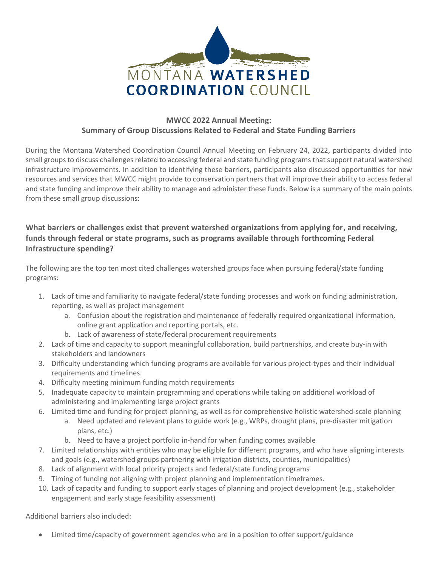

## **MWCC 2022 Annual Meeting: Summary of Group Discussions Related to Federal and State Funding Barriers**

During the Montana Watershed Coordination Council Annual Meeting on February 24, 2022, participants divided into small groups to discuss challenges related to accessing federal and state funding programs that support natural watershed infrastructure improvements. In addition to identifying these barriers, participants also discussed opportunities for new resources and services that MWCC might provide to conservation partners that will improve their ability to access federal and state funding and improve their ability to manage and administer these funds. Below is a summary of the main points from these small group discussions:

## **What barriers or challenges exist that prevent watershed organizations from applying for, and receiving, funds through federal or state programs, such as programs available through forthcoming Federal Infrastructure spending?**

The following are the top ten most cited challenges watershed groups face when pursuing federal/state funding programs:

- 1. Lack of time and familiarity to navigate federal/state funding processes and work on funding administration, reporting, as well as project management
	- a. Confusion about the registration and maintenance of federally required organizational information, online grant application and reporting portals, etc.
	- b. Lack of awareness of state/federal procurement requirements
- 2. Lack of time and capacity to support meaningful collaboration, build partnerships, and create buy-in with stakeholders and landowners
- 3. Difficulty understanding which funding programs are available for various project-types and their individual requirements and timelines.
- 4. Difficulty meeting minimum funding match requirements
- 5. Inadequate capacity to maintain programming and operations while taking on additional workload of administering and implementing large project grants
- 6. Limited time and funding for project planning, as well as for comprehensive holistic watershed-scale planning
	- a. Need updated and relevant plans to guide work (e.g., WRPs, drought plans, pre-disaster mitigation plans, etc.)
	- b. Need to have a project portfolio in-hand for when funding comes available
- 7. Limited relationships with entities who may be eligible for different programs, and who have aligning interests and goals (e.g., watershed groups partnering with irrigation districts, counties, municipalities)
- 8. Lack of alignment with local priority projects and federal/state funding programs
- 9. Timing of funding not aligning with project planning and implementation timeframes.
- 10. Lack of capacity and funding to support early stages of planning and project development (e.g., stakeholder engagement and early stage feasibility assessment)

Additional barriers also included:

• Limited time/capacity of government agencies who are in a position to offer support/guidance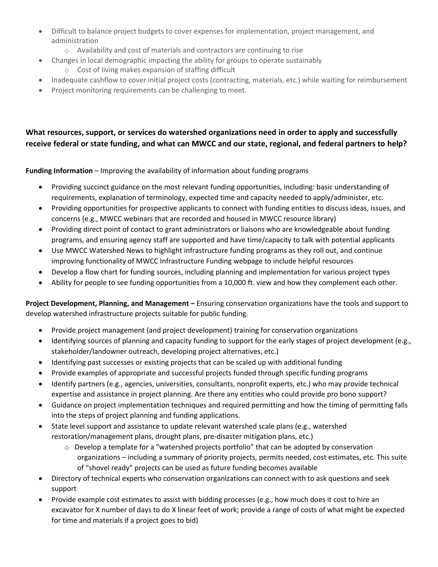- Difficult to balance project budgets to cover expenses for implementation, project management, and administration
	- o Availability and cost of materials and contractors are continuing to rise
- Changes in local demographic impacting the ability for groups to operate sustainably
	- o Cost of living makes expansion of staffing difficult
- Inadequate cashflow to cover initial project costs (contracting, materials, etc.) while waiting for reimbursement
- Project monitoring requirements can be challenging to meet.

## **What resources, support, or services do watershed organizations need in order to apply and successfully receive federal or state funding, and what can MWCC and our state, regional, and federal partners to help?**

**Funding Information** – Improving the availability of information about funding programs

- Providing succinct guidance on the most relevant funding opportunities, including: basic understanding of requirements, explanation of terminology, expected time and capacity needed to apply/administer, etc.
- Providing opportunities for prospective applicants to connect with funding entities to discuss ideas, issues, and concerns (e.g., MWCC webinars that are recorded and housed in MWCC resource library)
- Providing direct point of contact to grant administrators or liaisons who are knowledgeable about funding programs, and ensuring agency staff are supported and have time/capacity to talk with potential applicants
- Use MWCC Watershed News to highlight infrastructure funding programs as they roll out, and continue improving functionality of MWCC Infrastructure Funding webpage to include helpful resources
- Develop a flow chart for funding sources, including planning and implementation for various project types
- Ability for people to see funding opportunities from a 10,000 ft. view and how they complement each other.

**Project Development, Planning, and Management –** Ensuring conservation organizations have the tools and support to develop watershed infrastructure projects suitable for public funding.

- Provide project management (and project development) training for conservation organizations
- Identifying sources of planning and capacity funding to support for the early stages of project development (e.g., stakeholder/landowner outreach, developing project alternatives, etc.)
- Identifying past successes or existing projects that can be scaled up with additional funding
- Provide examples of appropriate and successful projects funded through specific funding programs
- Identify partners (e.g., agencies, universities, consultants, nonprofit experts, etc.) who may provide technical expertise and assistance in project planning. Are there any entities who could provide pro bono support?
- Guidance on project implementation techniques and required permitting and how the timing of permitting falls into the steps of project planning and funding applications.
- State level support and assistance to update relevant watershed scale plans (e.g., watershed restoration/management plans, drought plans, pre-disaster mitigation plans, etc.)
	- $\circ$  Develop a template for a "watershed projects portfolio" that can be adopted by conservation organizations – including a summary of priority projects, permits needed, cost estimates, etc. This suite of "shovel ready" projects can be used as future funding becomes available
- Directory of technical experts who conservation organizations can connect with to ask questions and seek support
- Provide example cost estimates to assist with bidding processes (e.g., how much does it cost to hire an excavator for X number of days to do X linear feet of work; provide a range of costs of what might be expected for time and materials if a project goes to bid)